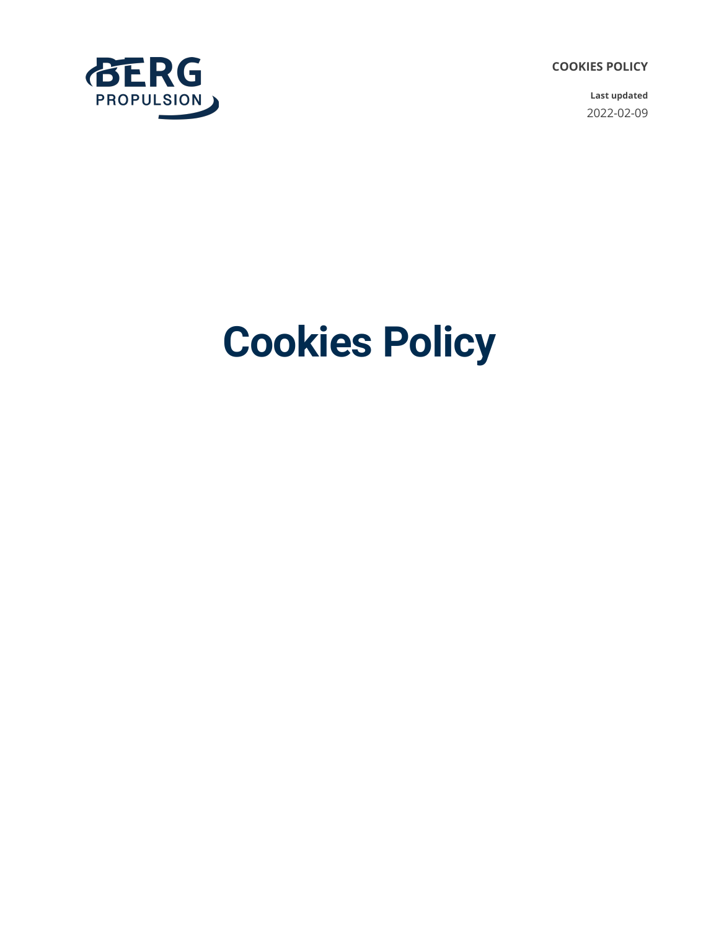**COOKIES POLICY**

**Last updated** 2022-02-09



# **Cookies Policy**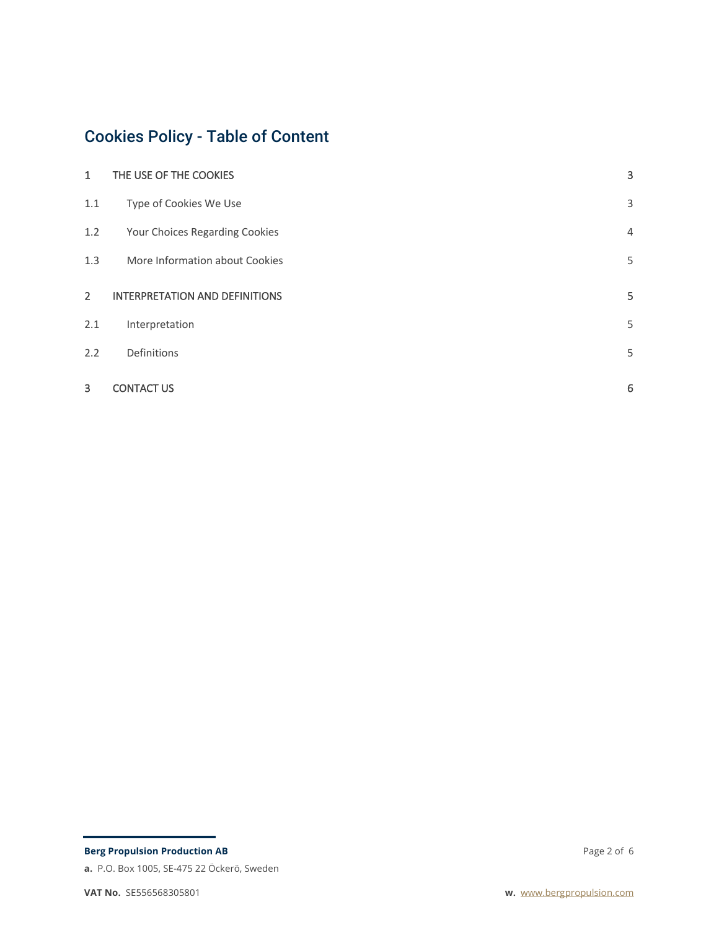## Cookies Policy - Table of Content

| $\mathbf{1}$   | THE USE OF THE COOKIES                | 3 |
|----------------|---------------------------------------|---|
| $1.1\,$        | Type of Cookies We Use                | 3 |
| 1.2            | Your Choices Regarding Cookies        | 4 |
| 1.3            | More Information about Cookies        | 5 |
| $\overline{2}$ | <b>INTERPRETATION AND DEFINITIONS</b> | 5 |
| 2.1            | Interpretation                        | 5 |
| 2.2            | Definitions                           | 5 |
| 3              | <b>CONTACT US</b>                     | 6 |

**a.** P.O. Box 1005, SE-475 22 Öckerö, Sweden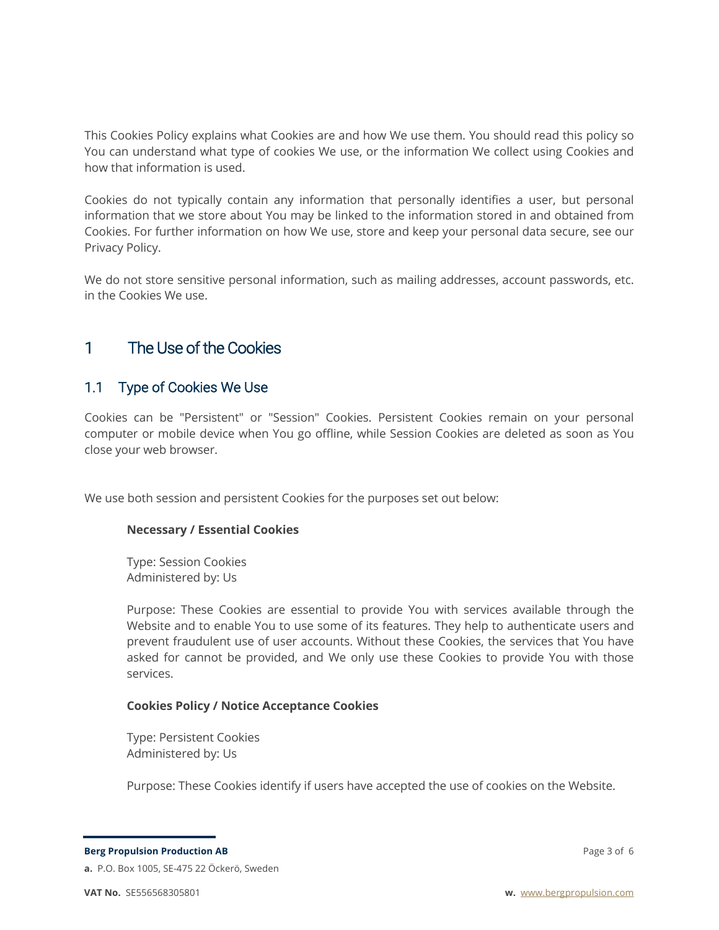This Cookies Policy explains what Cookies are and how We use them. You should read this policy so You can understand what type of cookies We use, or the information We collect using Cookies and how that information is used.

Cookies do not typically contain any information that personally identifies a user, but personal information that we store about You may be linked to the information stored in and obtained from Cookies. For further information on how We use, store and keep your personal data secure, see our Privacy Policy.

We do not store sensitive personal information, such as mailing addresses, account passwords, etc. in the Cookies We use.

## 1 The Use of the Cookies

#### 1.1 Type of Cookies We Use

Cookies can be "Persistent" or "Session" Cookies. Persistent Cookies remain on your personal computer or mobile device when You go offline, while Session Cookies are deleted as soon as You close your web browser.

We use both session and persistent Cookies for the purposes set out below:

#### **Necessary / Essential Cookies**

Type: Session Cookies Administered by: Us

Purpose: These Cookies are essential to provide You with services available through the Website and to enable You to use some of its features. They help to authenticate users and prevent fraudulent use of user accounts. Without these Cookies, the services that You have asked for cannot be provided, and We only use these Cookies to provide You with those services.

#### **Cookies Policy / Notice Acceptance Cookies**

Type: Persistent Cookies Administered by: Us

Purpose: These Cookies identify if users have accepted the use of cookies on the Website.

**Berg Propulsion Production AB**

**a.** P.O. Box 1005, SE-475 22 Öckerö, Sweden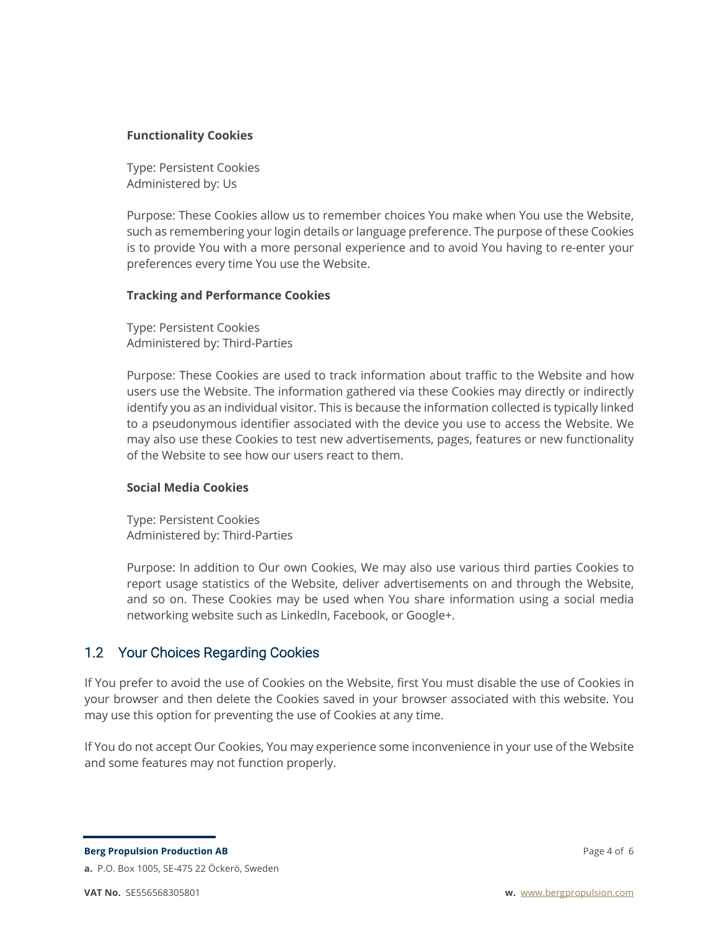#### **Functionality Cookies**

Type: Persistent Cookies Administered by: Us

Purpose: These Cookies allow us to remember choices You make when You use the Website, such as remembering your login details or language preference. The purpose of these Cookies is to provide You with a more personal experience and to avoid You having to re-enter your preferences every time You use the Website.

#### **Tracking and Performance Cookies**

Type: Persistent Cookies Administered by: Third-Parties

Purpose: These Cookies are used to track information about traffic to the Website and how users use the Website. The information gathered via these Cookies may directly or indirectly identify you as an individual visitor. This is because the information collected is typically linked to a pseudonymous identifier associated with the device you use to access the Website. We may also use these Cookies to test new advertisements, pages, features or new functionality of the Website to see how our users react to them.

#### **Social Media Cookies**

Type: Persistent Cookies Administered by: Third-Parties

Purpose: In addition to Our own Cookies, We may also use various third parties Cookies to report usage statistics of the Website, deliver advertisements on and through the Website, and so on. These Cookies may be used when You share information using a social media networking website such as LinkedIn, Facebook, or Google+.

#### 1.2 Your Choices Regarding Cookies

If You prefer to avoid the use of Cookies on the Website, first You must disable the use of Cookies in your browser and then delete the Cookies saved in your browser associated with this website. You may use this option for preventing the use of Cookies at any time.

If You do not accept Our Cookies, You may experience some inconvenience in your use of the Website and some features may not function properly.

**Berg Propulsion Production AB**

**a.** P.O. Box 1005, SE-475 22 Öckerö, Sweden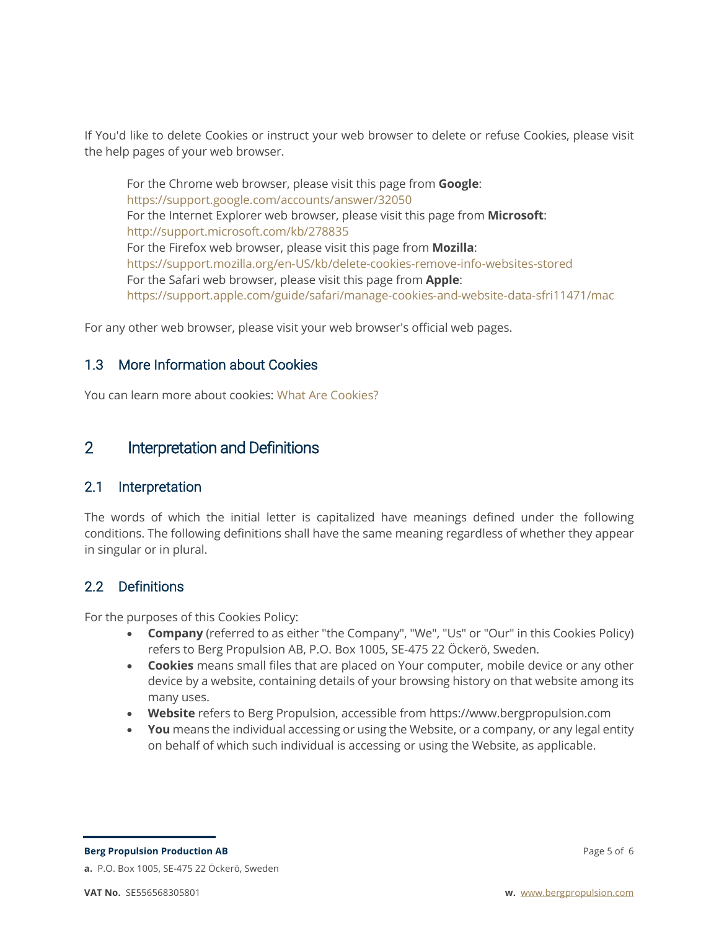If You'd like to delete Cookies or instruct your web browser to delete or refuse Cookies, please visit the help pages of your web browser.

For the Chrome web browser, please visit this page from **Google**: https://support.google.com/accounts/answer/32050 For the Internet Explorer web browser, please visit this page from **Microsoft**: http://support.microsoft.com/kb/278835 For the Firefox web browser, please visit this page from **Mozilla**: https://support.mozilla.org/en-US/kb/delete-cookies-remove-info-websites-stored For the Safari web browser, please visit this page from **Apple**: https://support.apple.com/guide/safari/manage-cookies-and-website-data-sfri11471/mac

For any other web browser, please visit your web browser's official web pages.

#### 1.3 More Information about Cookies

You can learn more about cookies: What Are Cookies?

## 2 Interpretation and Definitions

#### 2.1 Interpretation

The words of which the initial letter is capitalized have meanings defined under the following conditions. The following definitions shall have the same meaning regardless of whether they appear in singular or in plural.

### 2.2 Definitions

For the purposes of this Cookies Policy:

- **Company** (referred to as either "the Company", "We", "Us" or "Our" in this Cookies Policy) refers to Berg Propulsion AB, P.O. Box 1005, SE-475 22 Öckerö, Sweden.
- **Cookies** means small files that are placed on Your computer, mobile device or any other device by a website, containing details of your browsing history on that website among its many uses.
- **Website** refers to Berg Propulsion, accessible from https://www.bergpropulsion.com
- **You** means the individual accessing or using the Website, or a company, or any legal entity on behalf of which such individual is accessing or using the Website, as applicable.

**Berg Propulsion Production AB a.** P.O. Box 1005, SE-475 22 Öckerö, Sweden